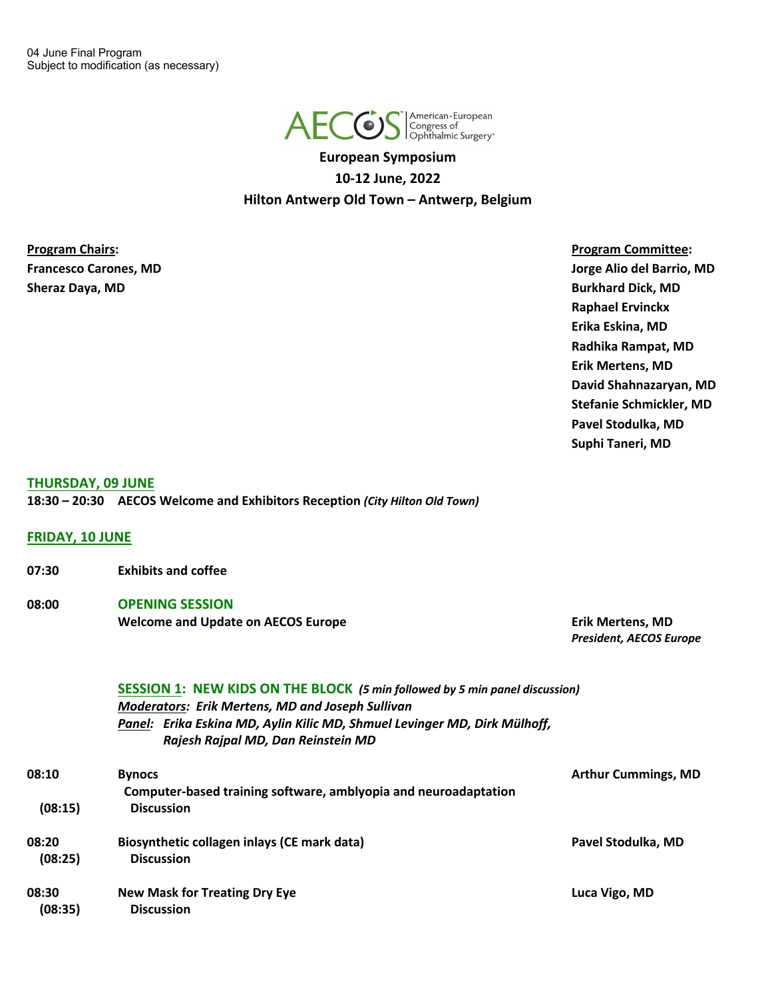

**European Symposium 10-12 June, 2022 Hilton Antwerp Old Town – Antwerp, Belgium**

**Program Chairs: Program Committee: Sheraz Daya, MD Burkhard Dick, MD**

**Francesco Carones, MD Jorge Alio del Barrio, MD Raphael Ervinckx Erika Eskina, MD Radhika Rampat, MD Erik Mertens, MD David Shahnazaryan, MD Stefanie Schmickler, MD Pavel Stodulka, MD Suphi Taneri, MD**

#### **THURSDAY, 09 JUNE**

**18:30 – 20:30 AECOS Welcome and Exhibitors Reception** *(City Hilton Old Town)*

**FRIDAY, 10 JUNE**

- **07:30 Exhibits and coffee**
- **08:00 OPENING SESSION Welcome and Update on AECOS Europe Erik Mertens, MD**

*President, AECOS Europe*

## **SESSION 1: NEW KIDS ON THE BLOCK** *(5 min followed by 5 min panel discussion)* *Moderators: Erik Mertens, MD and Joseph Sullivan Panel: Erika Eskina MD, Aylin Kilic MD, Shmuel Levinger MD, Dirk Mülhoff, Rajesh Rajpal MD, Dan Reinstein MD*

| 08:10            | <b>Bynocs</b><br>Computer-based training software, amblyopia and neuroadaptation | <b>Arthur Cummings, MD</b> |
|------------------|----------------------------------------------------------------------------------|----------------------------|
| (08:15)          | <b>Discussion</b>                                                                |                            |
| 08:20<br>(08:25) | Biosynthetic collagen inlays (CE mark data)<br><b>Discussion</b>                 | Pavel Stodulka, MD         |
| 08:30<br>(08:35) | <b>New Mask for Treating Dry Eye</b><br><b>Discussion</b>                        | Luca Vigo, MD              |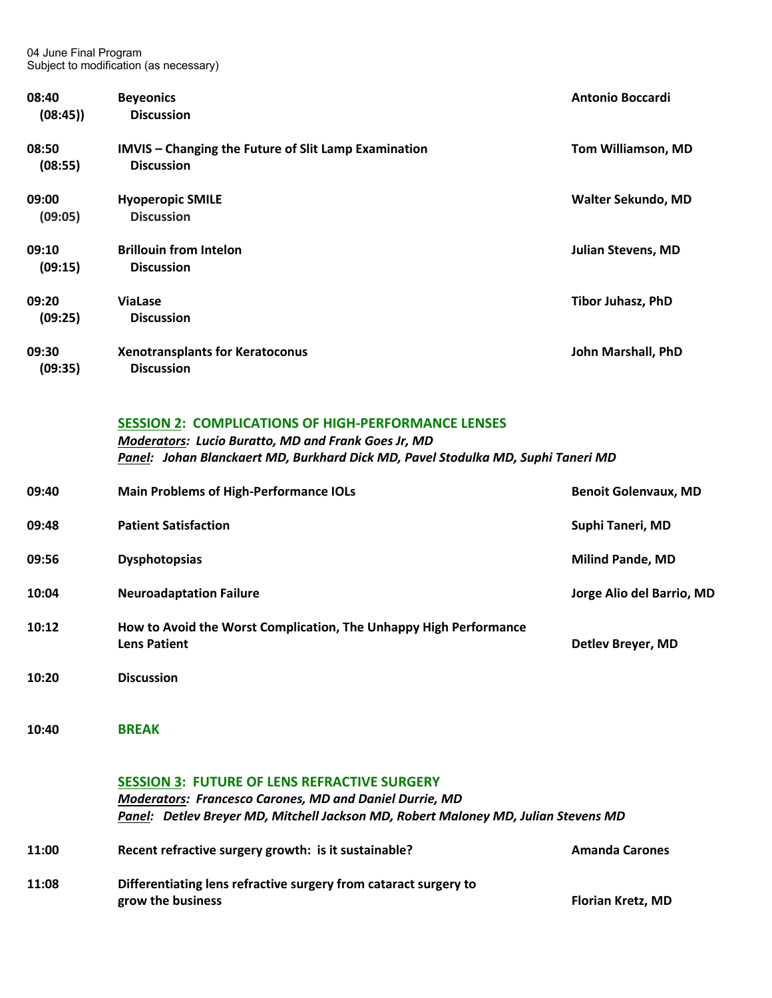| 08:40<br>(08:45) | <b>Beyeonics</b><br><b>Discussion</b>                                            | <b>Antonio Boccardi</b>   |
|------------------|----------------------------------------------------------------------------------|---------------------------|
| 08:50<br>(08:55) | <b>IMVIS</b> - Changing the Future of Slit Lamp Examination<br><b>Discussion</b> | <b>Tom Williamson, MD</b> |
| 09:00<br>(09:05) | <b>Hyoperopic SMILE</b><br><b>Discussion</b>                                     | Walter Sekundo, MD        |
| 09:10<br>(09:15) | <b>Brillouin from Intelon</b><br><b>Discussion</b>                               | <b>Julian Stevens, MD</b> |
| 09:20<br>(09:25) | <b>ViaLase</b><br><b>Discussion</b>                                              | Tibor Juhasz, PhD         |
| 09:30<br>(09:35) | <b>Xenotransplants for Keratoconus</b><br><b>Discussion</b>                      | John Marshall, PhD        |

#### **SESSION 2: COMPLICATIONS OF HIGH-PERFORMANCE LENSES**

*Moderators: Lucio Buratto, MD and Frank Goes Jr, MD Panel: Johan Blanckaert MD, Burkhard Dick MD, Pavel Stodulka MD, Suphi Taneri MD*

| 09:40 | <b>Main Problems of High-Performance IOLs</b>                                            | <b>Benoit Golenvaux, MD</b> |
|-------|------------------------------------------------------------------------------------------|-----------------------------|
| 09:48 | <b>Patient Satisfaction</b>                                                              | Suphi Taneri, MD            |
| 09:56 | <b>Dysphotopsias</b>                                                                     | <b>Milind Pande, MD</b>     |
| 10:04 | <b>Neuroadaptation Failure</b>                                                           | Jorge Alio del Barrio, MD   |
| 10:12 | How to Avoid the Worst Complication, The Unhappy High Performance<br><b>Lens Patient</b> | Detlev Breyer, MD           |
| 10:20 | <b>Discussion</b>                                                                        |                             |

**10:40 BREAK**

#### **SESSION 3: FUTURE OF LENS REFRACTIVE SURGERY**

*Moderators: Francesco Carones, MD and Daniel Durrie, MD Panel: Detlev Breyer MD, Mitchell Jackson MD, Robert Maloney MD, Julian Stevens MD*

| 11:00 | Recent refractive surgery growth: is it sustainable?             | <b>Amanda Carones</b>    |
|-------|------------------------------------------------------------------|--------------------------|
| 11:08 | Differentiating lens refractive surgery from cataract surgery to |                          |
|       | grow the business                                                | <b>Florian Kretz, MD</b> |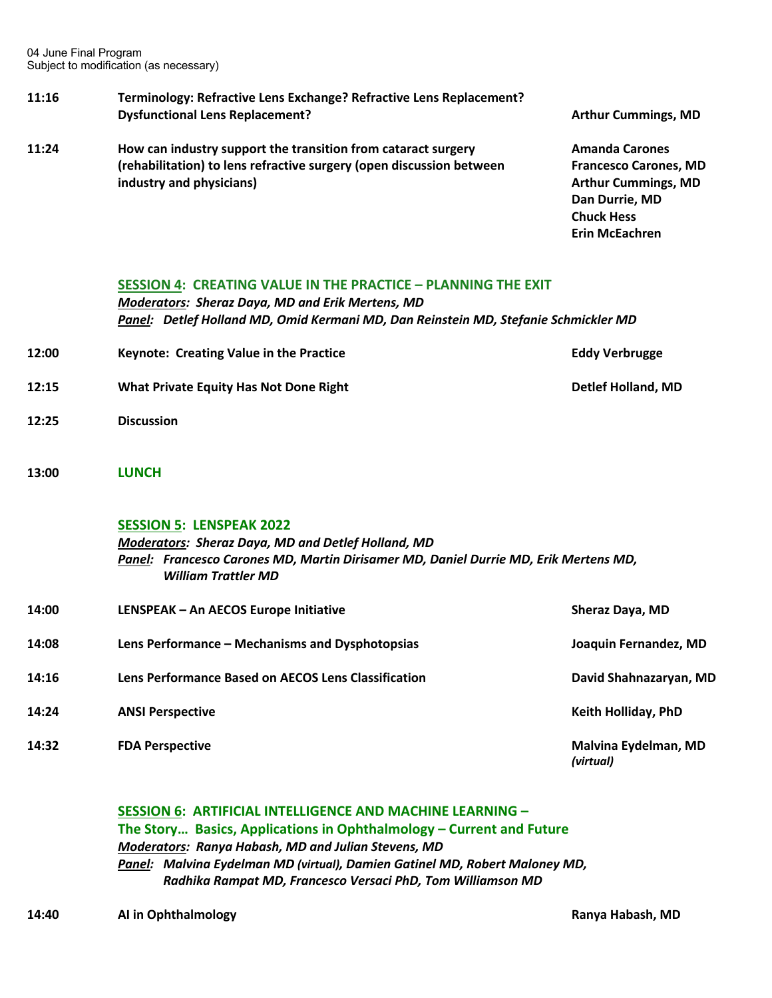#### **11:16 Terminology: Refractive Lens Exchange? Refractive Lens Replacement? Dysfunctional Lens Replacement? Arthur Cummings, MD Arthur Cummings, MD**

**11:24 How can industry support the transition from cataract surgery <b>Amanda Carones (rehabilitation) to lens refractive surgery (open discussion between Francesco Carones, MD industry and physicians) Arthur Cummings, MD** 

**Dan Durrie, MD Chuck Hess Erin McEachren**

#### **SESSION 4: CREATING VALUE IN THE PRACTICE – PLANNING THE EXIT**

*Moderators: Sheraz Daya, MD and Erik Mertens, MD Panel: Detlef Holland MD, Omid Kermani MD, Dan Reinstein MD, Stefanie Schmickler MD*

- **12:00 Keynote: Creating Value in the Practice Eddy Verbrugge 12:15 What Private Equity Has Not Done Right Detlef Holland, MD**
- **12:25 Discussion**
- **13:00 LUNCH**

#### **SESSION 5: LENSPEAK 2022**

*Moderators: Sheraz Daya, MD and Detlef Holland, MD Panel: Francesco Carones MD, Martin Dirisamer MD, Daniel Durrie MD, Erik Mertens MD, William Trattler MD*

| 14:00 | LENSPEAK - An AECOS Europe Initiative                      | <b>Sheraz Daya, MD</b>            |
|-------|------------------------------------------------------------|-----------------------------------|
| 14:08 | Lens Performance – Mechanisms and Dysphotopsias            | Joaquin Fernandez, MD             |
| 14:16 | <b>Lens Performance Based on AECOS Lens Classification</b> | David Shahnazaryan, MD            |
| 14:24 | <b>ANSI Perspective</b>                                    | <b>Keith Holliday, PhD</b>        |
| 14:32 | <b>FDA Perspective</b>                                     | Malvina Eydelman, MD<br>(virtual) |

## **SESSION 6: ARTIFICIAL INTELLIGENCE AND MACHINE LEARNING – The Story… Basics, Applications in Ophthalmology – Current and Future** *Moderators: Ranya Habash, MD and Julian Stevens, MD Panel: Malvina Eydelman MD (virtual), Damien Gatinel MD, Robert Maloney MD, Radhika Rampat MD, Francesco Versaci PhD, Tom Williamson MD*

**14:40 AI in Ophthalmology Ranya Habash, MD**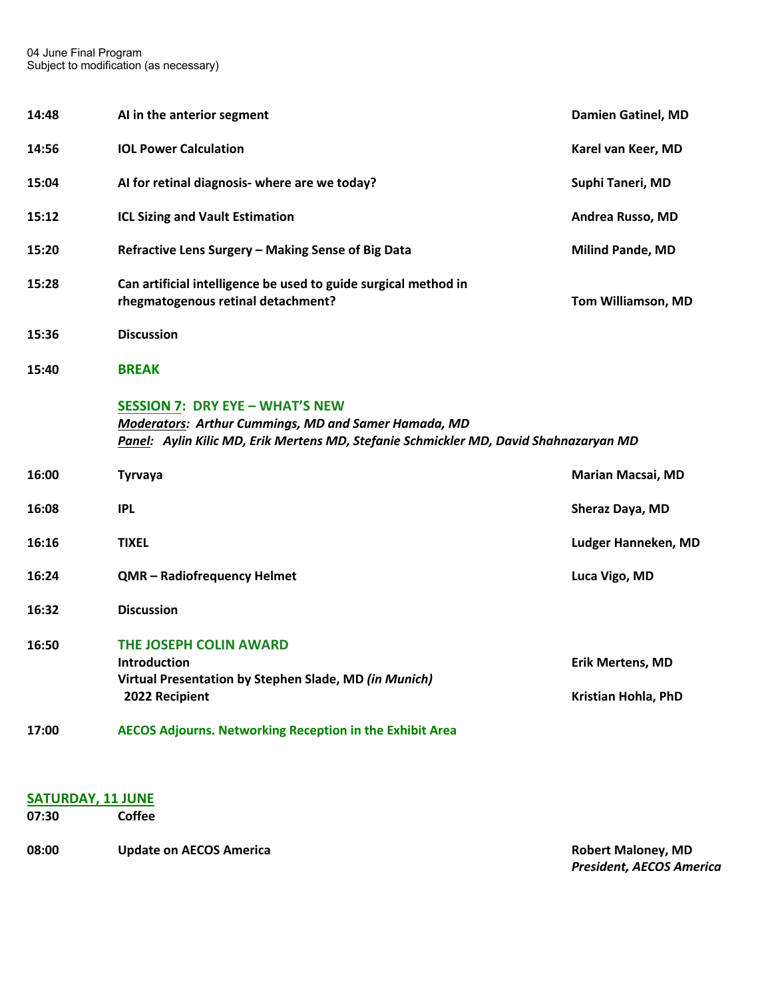| 14:48 | AI in the anterior segment                                                                                                                                                                     | <b>Damien Gatinel, MD</b>                      |
|-------|------------------------------------------------------------------------------------------------------------------------------------------------------------------------------------------------|------------------------------------------------|
| 14:56 | <b>IOL Power Calculation</b>                                                                                                                                                                   | Karel van Keer, MD                             |
| 15:04 | AI for retinal diagnosis- where are we today?                                                                                                                                                  | Suphi Taneri, MD                               |
| 15:12 | <b>ICL Sizing and Vault Estimation</b>                                                                                                                                                         | Andrea Russo, MD                               |
| 15:20 | Refractive Lens Surgery - Making Sense of Big Data                                                                                                                                             | <b>Milind Pande, MD</b>                        |
| 15:28 | Can artificial intelligence be used to guide surgical method in<br>rhegmatogenous retinal detachment?                                                                                          | Tom Williamson, MD                             |
| 15:36 | <b>Discussion</b>                                                                                                                                                                              |                                                |
| 15:40 | <b>BREAK</b>                                                                                                                                                                                   |                                                |
|       | <b>SESSION 7: DRY EYE - WHAT'S NEW</b><br><b>Moderators: Arthur Cummings, MD and Samer Hamada, MD</b><br>Panel: Aylin Kilic MD, Erik Mertens MD, Stefanie Schmickler MD, David Shahnazaryan MD |                                                |
| 16:00 | <b>Tyrvaya</b>                                                                                                                                                                                 | <b>Marian Macsai, MD</b>                       |
| 16:08 | <b>IPL</b>                                                                                                                                                                                     | Sheraz Daya, MD                                |
| 16:16 | <b>TIXEL</b>                                                                                                                                                                                   | Ludger Hanneken, MD                            |
| 16:24 | QMR - Radiofrequency Helmet                                                                                                                                                                    | Luca Vigo, MD                                  |
| 16:32 | <b>Discussion</b>                                                                                                                                                                              |                                                |
| 16:50 | THE JOSEPH COLIN AWARD<br><b>Introduction</b><br>Virtual Presentation by Stephen Slade, MD (in Munich)<br>2022 Recipient                                                                       | <b>Erik Mertens, MD</b><br>Kristian Hohla, PhD |
| 17:00 | <b>AECOS Adjourns. Networking Reception in the Exhibit Area</b>                                                                                                                                |                                                |

## **SATURDAY, 11 JUNE**

**07:30 Coffee** 

**08:00 Update on AECOS America Robert Maloney, MD Robert Maloney, MD** 

*President, AECOS America*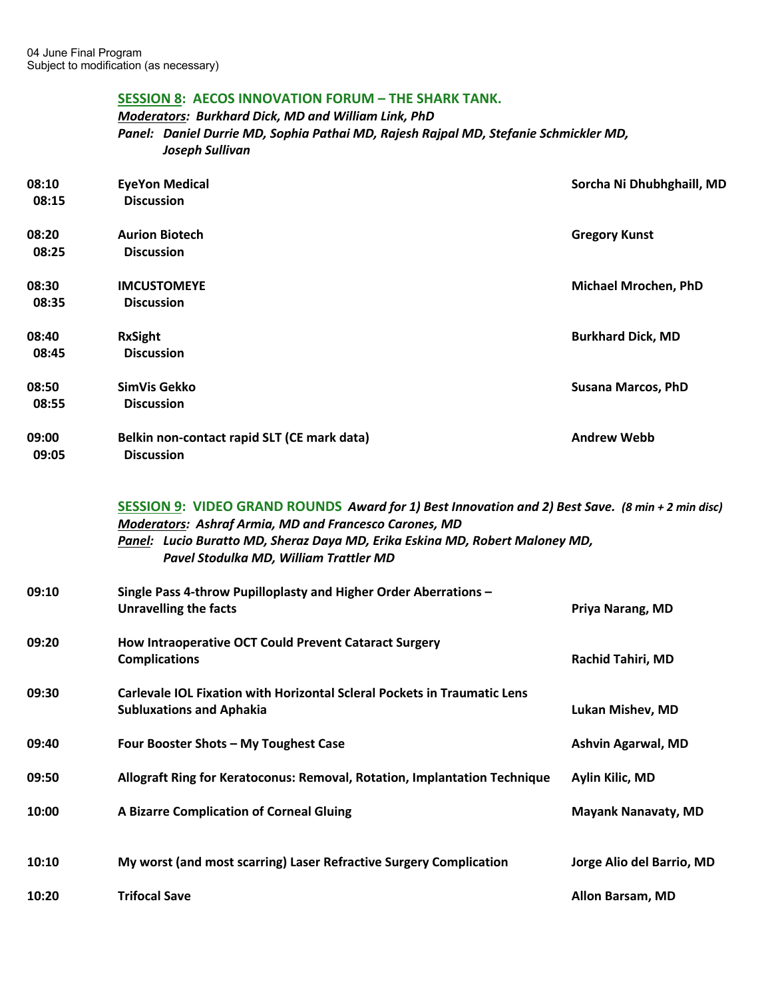# **SESSION 8: AECOS INNOVATION FORUM – THE SHARK TANK.**

## *Moderators: Burkhard Dick, MD and William Link, PhD Panel: Daniel Durrie MD, Sophia Pathai MD, Rajesh Rajpal MD, Stefanie Schmickler MD, Joseph Sullivan*

| 08:10<br>08:15 | <b>EyeYon Medical</b><br><b>Discussion</b>                                                                                                                                                                                                                                            | Sorcha Ni Dhubhghaill, MD   |
|----------------|---------------------------------------------------------------------------------------------------------------------------------------------------------------------------------------------------------------------------------------------------------------------------------------|-----------------------------|
| 08:20<br>08:25 | <b>Aurion Biotech</b><br><b>Discussion</b>                                                                                                                                                                                                                                            | <b>Gregory Kunst</b>        |
| 08:30<br>08:35 | <b>IMCUSTOMEYE</b><br><b>Discussion</b>                                                                                                                                                                                                                                               | <b>Michael Mrochen, PhD</b> |
| 08:40<br>08:45 | <b>RxSight</b><br><b>Discussion</b>                                                                                                                                                                                                                                                   | <b>Burkhard Dick, MD</b>    |
| 08:50<br>08:55 | SimVis Gekko<br><b>Discussion</b>                                                                                                                                                                                                                                                     | <b>Susana Marcos, PhD</b>   |
| 09:00<br>09:05 | Belkin non-contact rapid SLT (CE mark data)<br><b>Discussion</b>                                                                                                                                                                                                                      | <b>Andrew Webb</b>          |
|                | SESSION 9: VIDEO GRAND ROUNDS Award for 1) Best Innovation and 2) Best Save. (8 min + 2 min disc)<br>Moderators: Ashraf Armia, MD and Francesco Carones, MD<br>Panel: Lucio Buratto MD, Sheraz Daya MD, Erika Eskina MD, Robert Maloney MD,<br>Pavel Stodulka MD, William Trattler MD |                             |
| 09:10          | Single Pass 4-throw Pupilloplasty and Higher Order Aberrations -<br><b>Unravelling the facts</b>                                                                                                                                                                                      | Priya Narang, MD            |
| 09:20          | How Intraoperative OCT Could Prevent Cataract Surgery<br><b>Complications</b>                                                                                                                                                                                                         | Rachid Tahiri, MD           |
| 09:30          | Carlevale IOL Fixation with Horizontal Scleral Pockets in Traumatic Lens<br><b>Subluxations and Aphakia</b>                                                                                                                                                                           | Lukan Mishev, MD            |
| 09:40          | Four Booster Shots - My Toughest Case                                                                                                                                                                                                                                                 | Ashvin Agarwal, MD          |
| 09:50          | Allograft Ring for Keratoconus: Removal, Rotation, Implantation Technique                                                                                                                                                                                                             | Aylin Kilic, MD             |
| 10:00          | A Bizarre Complication of Corneal Gluing                                                                                                                                                                                                                                              | <b>Mayank Nanavaty, MD</b>  |
| 10:10          | My worst (and most scarring) Laser Refractive Surgery Complication                                                                                                                                                                                                                    | Jorge Alio del Barrio, MD   |
| 10:20          | <b>Trifocal Save</b>                                                                                                                                                                                                                                                                  | Allon Barsam, MD            |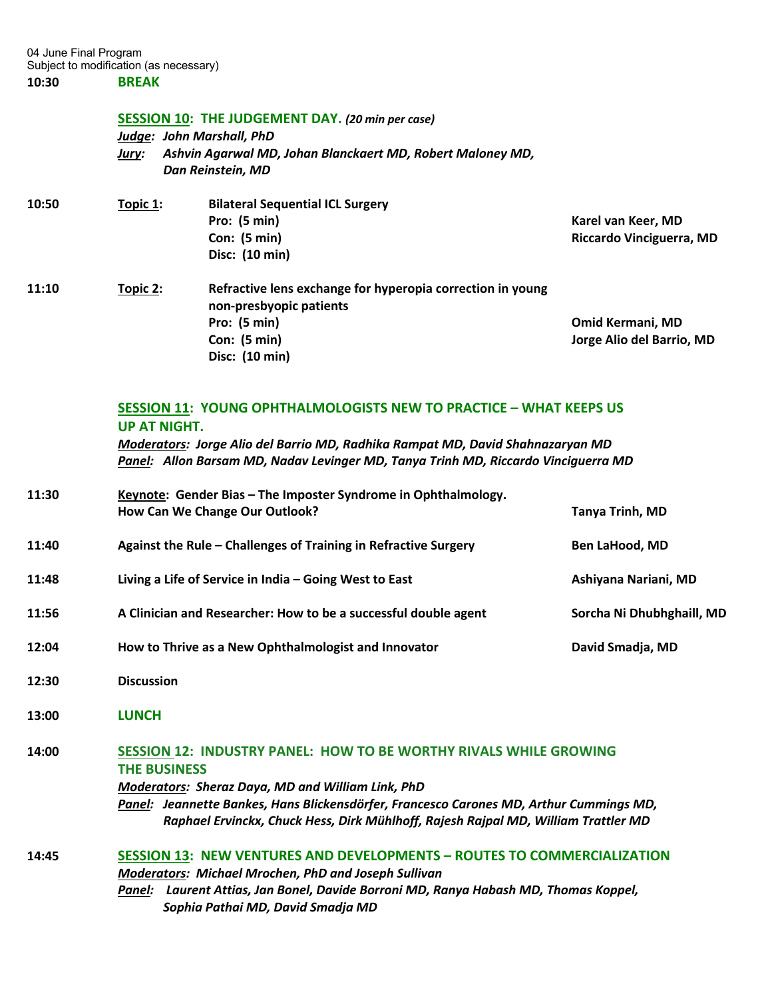#### **SESSION 10: THE JUDGEMENT DAY.** *(20 min per case)*

**Disc: (10 min)**

*Judge: John Marshall, PhD Jury: Ashvin Agarwal MD, Johan Blanckaert MD, Robert Maloney MD, Dan Reinstein, MD*

| 10:50 | Topic 1: | <b>Bilateral Sequential ICL Surgery</b>                                               |                           |
|-------|----------|---------------------------------------------------------------------------------------|---------------------------|
|       |          | Pro: $(5 min)$                                                                        | Karel van Keer, MD        |
|       |          | Con: $(5 min)$                                                                        | Riccardo Vinciguerra, MD  |
|       |          | Disc: (10 min)                                                                        |                           |
| 11:10 | Topic 2: | Refractive lens exchange for hyperopia correction in young<br>non-presbyopic patients |                           |
|       |          | Pro: $(5 min)$                                                                        | <b>Omid Kermani, MD</b>   |
|       |          | Con: $(5 min)$                                                                        | Jorge Alio del Barrio, MD |

### **SESSION 11: YOUNG OPHTHALMOLOGISTS NEW TO PRACTICE – WHAT KEEPS US UP AT NIGHT.**

*Moderators: Jorge Alio del Barrio MD, Radhika Rampat MD, David Shahnazaryan MD Panel: Allon Barsam MD, Nadav Levinger MD, Tanya Trinh MD, Riccardo Vinciguerra MD*

| 11:30 | Keynote: Gender Bias - The Imposter Syndrome in Ophthalmology.<br>How Can We Change Our Outlook? | Tanya Trinh, MD           |
|-------|--------------------------------------------------------------------------------------------------|---------------------------|
| 11:40 | Against the Rule – Challenges of Training in Refractive Surgery                                  | <b>Ben LaHood, MD</b>     |
| 11:48 | Living a Life of Service in India – Going West to East                                           | Ashiyana Nariani, MD      |
| 11:56 | A Clinician and Researcher: How to be a successful double agent                                  | Sorcha Ni Dhubhghaill, MD |
| 12:04 | How to Thrive as a New Ophthalmologist and Innovator                                             | David Smadja, MD          |
|       |                                                                                                  |                           |

- **12:30 Discussion**
- **13:00 LUNCH**

# **14:00 SESSION 12: INDUSTRY PANEL: HOW TO BE WORTHY RIVALS WHILE GROWING THE BUSINESS**

*Moderators: Sheraz Daya, MD and William Link, PhD Panel: Jeannette Bankes, Hans Blickensdörfer, Francesco Carones MD, Arthur Cummings MD, Raphael Ervinckx, Chuck Hess, Dirk Mühlhoff, Rajesh Rajpal MD, William Trattler MD*

## **14:45 SESSION 13: NEW VENTURES AND DEVELOPMENTS – ROUTES TO COMMERCIALIZATION** *Moderators: Michael Mrochen, PhD and Joseph Sullivan Panel: Laurent Attias, Jan Bonel, Davide Borroni MD, Ranya Habash MD, Thomas Koppel, Sophia Pathai MD, David Smadja MD*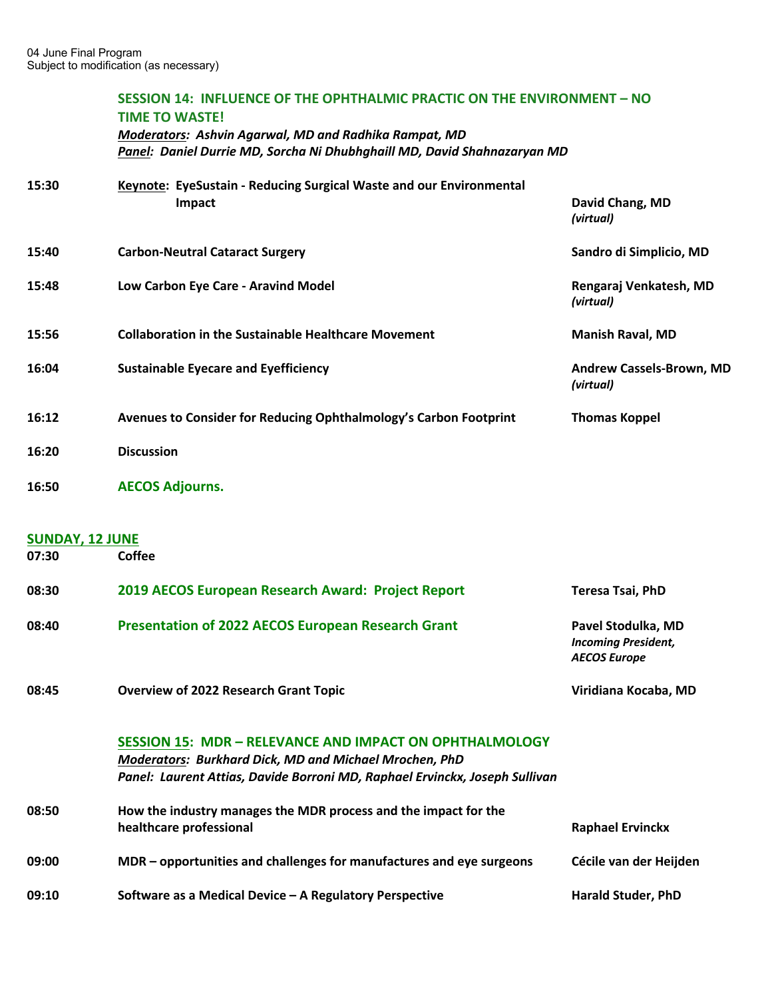|                        | SESSION 14: INFLUENCE OF THE OPHTHALMIC PRACTIC ON THE ENVIRONMENT - NO<br><b>TIME TO WASTE!</b><br><b>Moderators: Ashvin Agarwal, MD and Radhika Rampat, MD</b><br>Panel: Daniel Durrie MD, Sorcha Ni Dhubhghaill MD, David Shahnazaryan MD |                                                                         |  |  |
|------------------------|----------------------------------------------------------------------------------------------------------------------------------------------------------------------------------------------------------------------------------------------|-------------------------------------------------------------------------|--|--|
| 15:30                  | Keynote: EyeSustain - Reducing Surgical Waste and our Environmental<br>Impact                                                                                                                                                                | David Chang, MD                                                         |  |  |
|                        |                                                                                                                                                                                                                                              | (virtual)                                                               |  |  |
| 15:40                  | <b>Carbon-Neutral Cataract Surgery</b>                                                                                                                                                                                                       | Sandro di Simplicio, MD                                                 |  |  |
| 15:48                  | Low Carbon Eye Care - Aravind Model                                                                                                                                                                                                          | Rengaraj Venkatesh, MD<br>(virtual)                                     |  |  |
| 15:56                  | <b>Collaboration in the Sustainable Healthcare Movement</b>                                                                                                                                                                                  | <b>Manish Raval, MD</b>                                                 |  |  |
| 16:04                  | <b>Sustainable Eyecare and Eyefficiency</b>                                                                                                                                                                                                  | <b>Andrew Cassels-Brown, MD</b><br>(virtual)                            |  |  |
| 16:12                  | Avenues to Consider for Reducing Ophthalmology's Carbon Footprint                                                                                                                                                                            | <b>Thomas Koppel</b>                                                    |  |  |
| 16:20                  | <b>Discussion</b>                                                                                                                                                                                                                            |                                                                         |  |  |
| 16:50                  | <b>AECOS Adjourns.</b>                                                                                                                                                                                                                       |                                                                         |  |  |
| <b>SUNDAY, 12 JUNE</b> |                                                                                                                                                                                                                                              |                                                                         |  |  |
| 07:30                  | <b>Coffee</b>                                                                                                                                                                                                                                |                                                                         |  |  |
| 08:30                  | 2019 AECOS European Research Award: Project Report                                                                                                                                                                                           | <b>Teresa Tsai, PhD</b>                                                 |  |  |
| 08:40                  | <b>Presentation of 2022 AECOS European Research Grant</b>                                                                                                                                                                                    | Pavel Stodulka, MD<br><b>Incoming President,</b><br><b>AECOS Europe</b> |  |  |
| 08:45                  | <b>Overview of 2022 Research Grant Topic</b>                                                                                                                                                                                                 | Viridiana Kocaba, MD                                                    |  |  |
|                        | <b>SESSION 15: MDR - RELEVANCE AND IMPACT ON OPHTHALMOLOGY</b><br>Moderators: Burkhard Dick, MD and Michael Mrochen, PhD<br>Panel: Laurent Attias, Davide Borroni MD, Raphael Ervinckx, Joseph Sullivan                                      |                                                                         |  |  |
| 08:50                  | How the industry manages the MDR process and the impact for the<br>healthcare professional                                                                                                                                                   | <b>Raphael Ervinckx</b>                                                 |  |  |
| 09:00                  | MDR – opportunities and challenges for manufactures and eye surgeons                                                                                                                                                                         | Cécile van der Heijden                                                  |  |  |
| 09:10                  | Software as a Medical Device - A Regulatory Perspective                                                                                                                                                                                      | <b>Harald Studer, PhD</b>                                               |  |  |